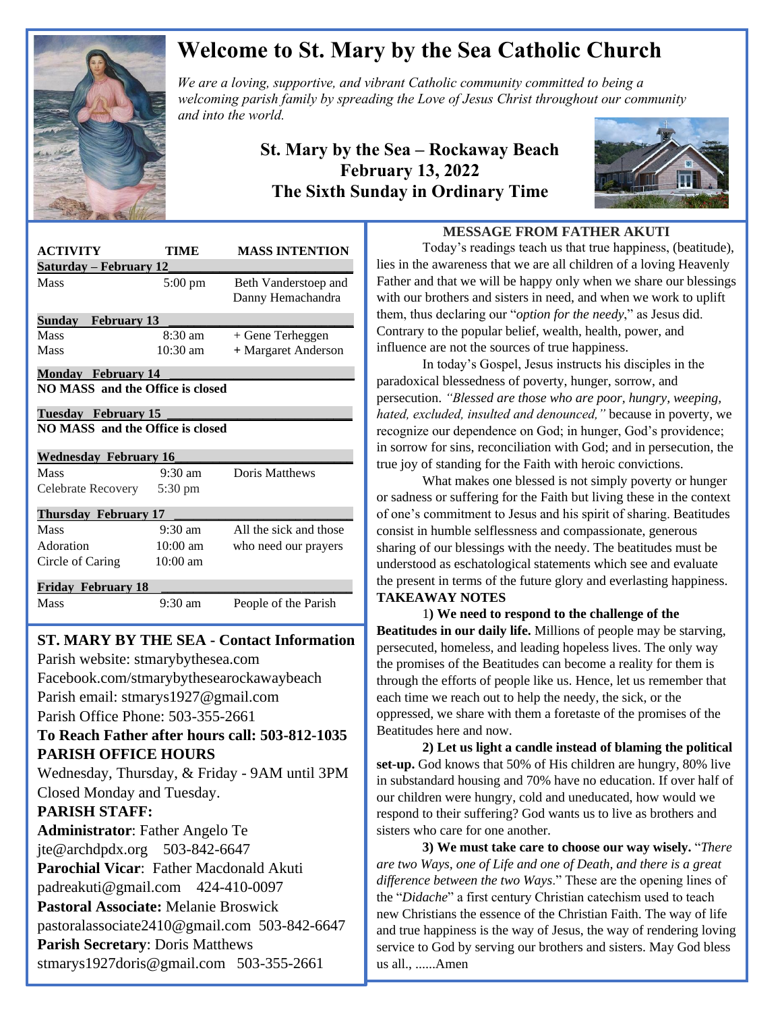

## **Welcome to St. Mary by the Sea Catholic Church**

*We are a loving, supportive, and vibrant Catholic community committed to being a We are a loving, supportive, and vibrant Catholic community committed to being a*  $\mathbb{Z}$ *welcoming parish family by spreading the Love of Jesus Christ throughout our community and into the world.*

### **St. Mary by the Sea – Rockaway Beach February 13, 2022 The Sixth Sunday in Ordinary Time**



| <b>ACTIVITY</b>                         | TIME              | <b>MASS INTENTION</b>                     |
|-----------------------------------------|-------------------|-------------------------------------------|
| <u> Saturday – February 12</u>          |                   |                                           |
| Mass                                    | $5:00 \text{ pm}$ | Beth Vanderstoep and<br>Danny Hemachandra |
| Sunday February 13                      |                   |                                           |
| Mass                                    | $8:30 \text{ am}$ | + Gene Terheggen                          |
| Mass                                    | $10:30$ am        | + Margaret Anderson                       |
| <b>Monday February 14</b>               |                   |                                           |
| NO MASS and the Office is closed        |                   |                                           |
| <b>Tuesday February 15</b>              |                   |                                           |
| <b>NO MASS</b> and the Office is closed |                   |                                           |
| <b>Wednesday February 16</b>            |                   |                                           |
| Mass                                    | $9:30$ am         | Doris Matthews                            |
| Celebrate Recovery                      | $5:30 \text{ pm}$ |                                           |
| <b>Thursday February 17</b>             |                   |                                           |
| Mass                                    | $9:30 \text{ am}$ | All the sick and those                    |
| Adoration                               | $10:00$ am        | who need our prayers                      |
| Circle of Caring                        | $10:00$ am        |                                           |
| <b>Friday February 18</b>               |                   |                                           |
| Mass                                    | $9:30$ am         | People of the Parish                      |

# **ST. MARY BY THE SEA - Contact Information**

 Facebook.com/stmarybythesearockawaybeach Parish website: stmarybythesea.com Parish email: stmarys1927@gmail.com Parish Office Phone: 503-355-2661

#### **To Reach Father after hours call: 503-812-1035 PARISH OFFICE HOURS**

Wednesday, Thursday, & Friday - 9AM until 3PM Closed Monday and Tuesday.

#### **PARISH STAFF:**

 

> **Administrator**: Father Angelo Te jte@archdpdx.org 503-842-6647 **Parochial Vicar**: Father Macdonald Akuti padreakuti@gmail.com 424-410-0097 **Pastoral Associate:** Melanie Broswick pastoralassociate2410@gmail.com 503-842-6647 **Parish Secretary**: Doris Matthews stmarys1927doris@gmail.com 503-355-2661

#### **MESSAGE FROM FATHER AKUTI**

Today's readings teach us that true happiness, (beatitude), lies in the awareness that we are all children of a loving Heavenly Father and that we will be happy only when we share our blessings with our brothers and sisters in need, and when we work to uplift them, thus declaring our "*option for the needy*," as Jesus did. Contrary to the popular belief, wealth, health, power, and influence are not the sources of true happiness.

In today's Gospel, Jesus instructs his disciples in the paradoxical blessedness of poverty, hunger, sorrow, and persecution. *"Blessed are those who are poor, hungry, weeping, hated, excluded, insulted and denounced,"* because in poverty, we recognize our dependence on God; in hunger, God's providence; in sorrow for sins, reconciliation with God; and in persecution, the true joy of standing for the Faith with heroic convictions.

What makes one blessed is not simply poverty or hunger or sadness or suffering for the Faith but living these in the context of one's commitment to Jesus and his spirit of sharing. Beatitudes consist in humble selflessness and compassionate, generous sharing of our blessings with the needy. The beatitudes must be understood as eschatological statements which see and evaluate the present in terms of the future glory and everlasting happiness. **TAKEAWAY NOTES**

1**) We need to respond to the challenge of the Beatitudes in our daily life.** Millions of people may be starving, persecuted, homeless, and leading hopeless lives. The only way the promises of the Beatitudes can become a reality for them is through the efforts of people like us. Hence, let us remember that each time we reach out to help the needy, the sick, or the oppressed, we share with them a foretaste of the promises of the Beatitudes here and now.

**2) Let us light a candle instead of blaming the political set-up.** God knows that 50% of His children are hungry, 80% live in substandard housing and 70% have no education. If over half of our children were hungry, cold and uneducated, how would we respond to their suffering? God wants us to live as brothers and sisters who care for one another.

**3) We must take care to choose our way wisely.** "*There are two Ways, one of Life and one of Death, and there is a great difference between the two Ways*." These are the opening lines of the "*[Didache](http://www.gty.org/~phil/didache.htm)*" a first century Christian catechism used to teach new Christians the essence of the Christian Faith. The way of life and true happiness is the way of Jesus, the way of rendering loving service to God by serving our brothers and sisters. May God bless us all., ......Amen